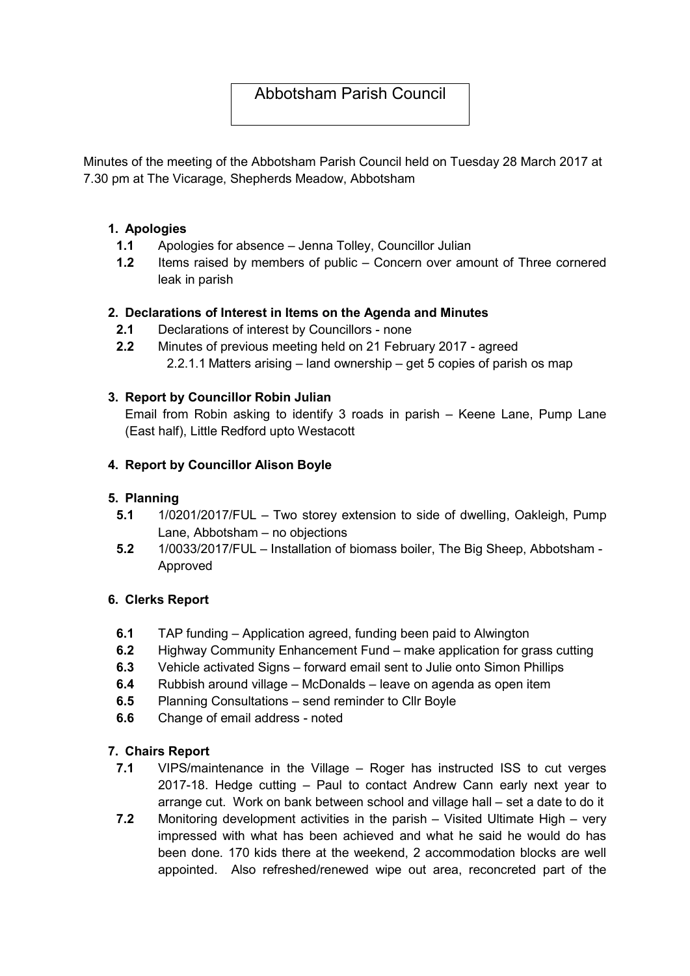# Abbotsham Parish Council

Minutes of the meeting of the Abbotsham Parish Council held on Tuesday 28 March 2017 at 7.30 pm at The Vicarage, Shepherds Meadow, Abbotsham

#### 1. Apologies

- 1.1 Apologies for absence Jenna Tolley, Councillor Julian
- 1.2 Items raised by members of public Concern over amount of Three cornered leak in parish

## 2. Declarations of Interest in Items on the Agenda and Minutes

- 2.1 Declarations of interest by Councillors none
- 2.2 Minutes of previous meeting held on 21 February 2017 agreed 2.2.1.1 Matters arising – land ownership – get 5 copies of parish os map

## 3. Report by Councillor Robin Julian

Email from Robin asking to identify 3 roads in parish – Keene Lane, Pump Lane (East half), Little Redford upto Westacott

## 4. Report by Councillor Alison Boyle

#### 5. Planning

- 5.1 1/0201/2017/FUL Two storey extension to side of dwelling, Oakleigh, Pump Lane, Abbotsham – no objections
- 5.2 1/0033/2017/FUL Installation of biomass boiler, The Big Sheep, Abbotsham Approved

#### 6. Clerks Report

- 6.1 TAP funding Application agreed, funding been paid to Alwington
- 6.2 Highway Community Enhancement Fund make application for grass cutting
- 6.3 Vehicle activated Signs forward email sent to Julie onto Simon Phillips
- 6.4 Rubbish around village McDonalds leave on agenda as open item
- 6.5 Planning Consultations send reminder to Cllr Boyle
- 6.6 Change of email address noted

# 7. Chairs Report

- 7.1 VIPS/maintenance in the Village Roger has instructed ISS to cut verges 2017-18. Hedge cutting – Paul to contact Andrew Cann early next year to arrange cut. Work on bank between school and village hall – set a date to do it
- 7.2 Monitoring development activities in the parish Visited Ultimate High very impressed with what has been achieved and what he said he would do has been done. 170 kids there at the weekend, 2 accommodation blocks are well appointed. Also refreshed/renewed wipe out area, reconcreted part of the